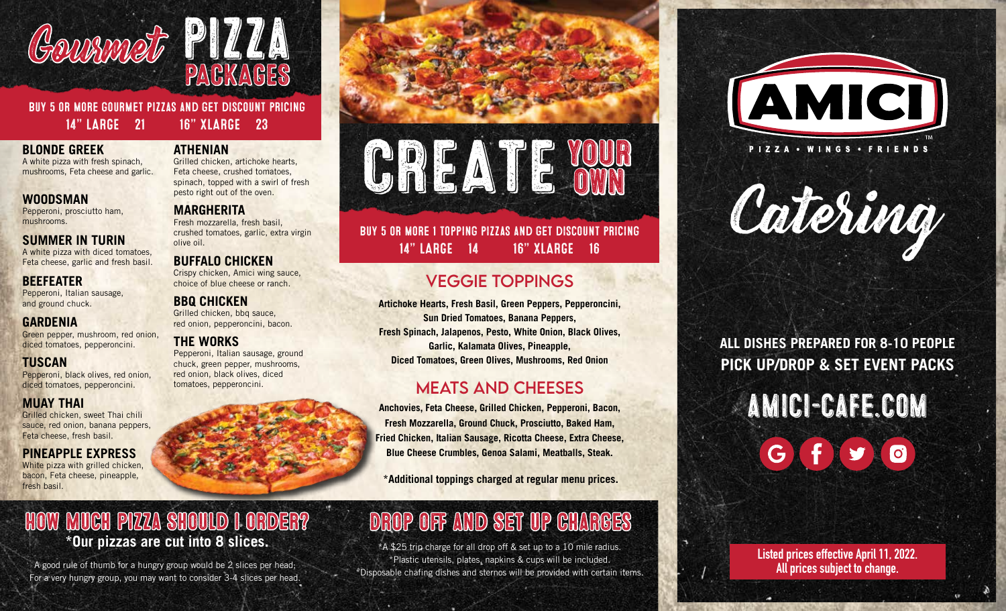



Buy 5 or more gourmet pizzas and get discount pricing 14" LARGE 21 16" XLARGE 23

#### **BLONDE GREEK**

A white pizza with fresh spinach, mushrooms, Feta cheese and garlic.

#### **WOODSMAN**

Pepperoni, prosciutto ham, mushrooms.

#### **SUMMER IN TURIN**

A white pizza with diced tomatoes, Feta cheese, garlic and fresh basil.

#### **BEEFEATER**

Pepperoni, Italian sausage, and ground chuck.

#### **GARDENIA**

Green pepper, mushroom, red onion, diced tomatoes, pepperoncini.

#### **TUSCAN**

Pepperoni, black olives, red onion, diced tomatoes, pepperoncini.

#### **MUAY THAI**

Grilled chicken, sweet Thai chili sauce, red onion, banana peppers, Feta cheese, fresh basil.

#### **PINEAPPLE EXPRESS**

White pizza with grilled chicken, bacon, Feta cheese, pineapple, fresh basil.

#### **ATHENIAN**

Grilled chicken, artichoke hearts, Feta cheese, crushed tomatoes, spinach, topped with a swirl of fresh pesto right out of the oven.

#### **MARGHERITA**

Fresh mozzarella, fresh basil, crushed tomatoes, garlic, extra virgin olive oil.

#### **BUFFALO CHICKEN**

Crispy chicken, Amici wing sauce, choice of blue cheese or ranch.

**BBQ CHICKEN** Grilled chicken, bbq sauce, red onion, pepperoncini, bacon.

### **THE WORKS**

Pepperoni, Italian sausage, ground chuck, green pepper, mushrooms, red onion, black olives, diced tomatoes, pepperoncini.

# CREATE YOUR OWN

#### Buy 5 or more 1 topping pizzas and get discount pricing 14" LARGE 14 16" XLARGE 16

## VEGGIE TOPPINGS

**Artichoke Hearts, Fresh Basil, Green Peppers, Pepperoncini, Sun Dried Tomatoes, Banana Peppers, Fresh Spinach, Jalapenos, Pesto, White Onion, Black Olives, Garlic, Kalamata Olives, Pineapple, Diced Tomatoes, Green Olives, Mushrooms, Red Onion**

### MEATS AND CHEESES

**Anchovies, Feta Cheese, Grilled Chicken, Pepperoni, Bacon, Fresh Mozzarella, Ground Chuck, Prosciutto, Baked Ham, Fried Chicken, Italian Sausage, Ricotta Cheese, Extra Cheese, Blue Cheese Crumbles, Genoa Salami, Meatballs, Steak.** 

**\*Additional toppings charged at regular menu prices.**

# Drop off and Set up Charges

\*A \$25 trip charge for all drop off & set up to a 10 mile radius. \*Plastic utensils, plates, napkins & cups will be included. \*Disposable chafing dishes and sternos will be provided with certain items.





**ALL DISHES PREPARED FOR 8-10 PEOPLE PICK UP/DROP & SET EVENT PACKS**

# amici-cafe.com  $\bullet$ G

#### **Listed prices effective April 11, 2022. All prices subject to change.**

How Much Pizza Should I order? **\*Our pizzas are cut into 8 slices.** A good rule of thumb for a hungry group would be 2 slices per head;

For a very hungry group, you may want to consider 3-4 slices per head.